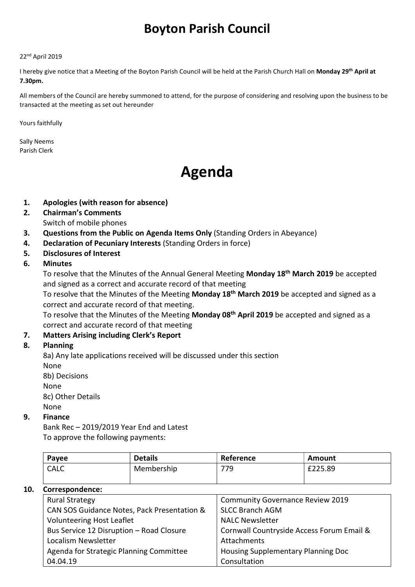# Boyton Parish Council

#### 22nd April 2019

I hereby give notice that a Meeting of the Boyton Parish Council will be held at the Parish Church Hall on Monday 29<sup>th</sup> April at 7.30pm.

All members of the Council are hereby summoned to attend, for the purpose of considering and resolving upon the business to be transacted at the meeting as set out hereunder

Yours faithfully

Sally Neems Parish Clerk

# Agenda

- 1. Apologies (with reason for absence)
- 2. Chairman's Comments Switch of mobile phones
- 3. Questions from the Public on Agenda Items Only (Standing Orders in Abeyance)
- 4. Declaration of Pecuniary Interests (Standing Orders in force)
- 5. Disclosures of Interest

#### 6. Minutes

To resolve that the Minutes of the Annual General Meeting Monday 18<sup>th</sup> March 2019 be accepted and signed as a correct and accurate record of that meeting

To resolve that the Minutes of the Meeting Monday 18<sup>th</sup> March 2019 be accepted and signed as a correct and accurate record of that meeting.

To resolve that the Minutes of the Meeting Monday 08<sup>th</sup> April 2019 be accepted and signed as a correct and accurate record of that meeting

### 7. Matters Arising including Clerk's Report

#### 8. Planning

8a) Any late applications received will be discussed under this section None 8b) Decisions None 8c) Other Details None

#### 9. Finance

Bank Rec – 2019/2019 Year End and Latest To approve the following payments:

| Payee       | <b>Details</b> | Reference | Amount  |
|-------------|----------------|-----------|---------|
| <b>CALC</b> | Membership     | 779       | £225.89 |

#### 10. Correspondence:

| <b>Rural Strategy</b>                       | <b>Community Governance Review 2019</b>   |
|---------------------------------------------|-------------------------------------------|
| CAN SOS Guidance Notes, Pack Presentation & | <b>SLCC Branch AGM</b>                    |
| <b>Volunteering Host Leaflet</b>            | <b>NALC Newsletter</b>                    |
| Bus Service 12 Disruption - Road Closure    | Cornwall Countryside Access Forum Email & |
| Localism Newsletter                         | Attachments                               |
| Agenda for Strategic Planning Committee     | Housing Supplementary Planning Doc        |
| 04.04.19                                    | Consultation                              |